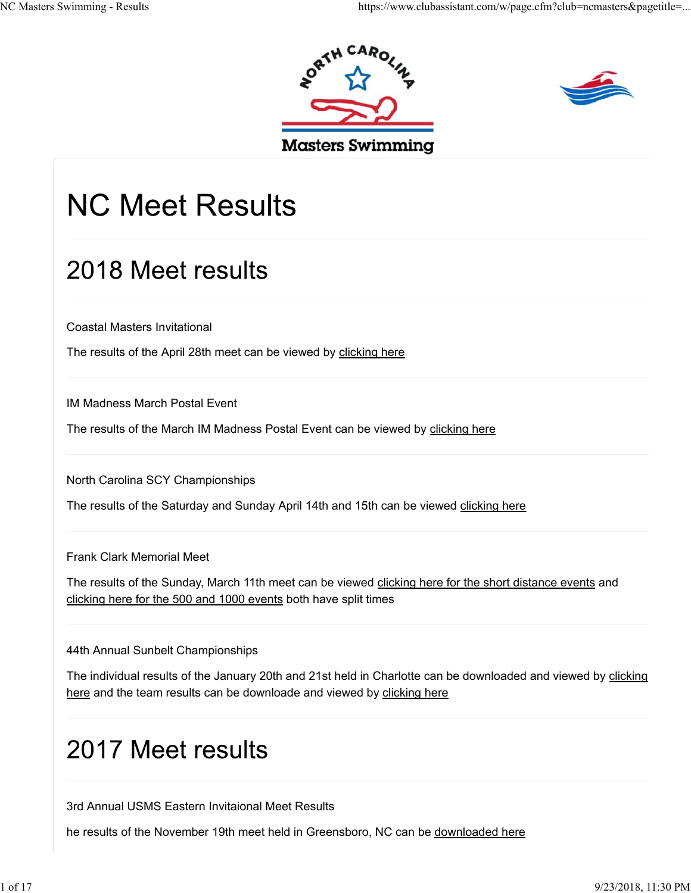



# **NC Meet Results**

# 2018 Meet results

Coastal Masters Invitational

The results of the April 28th meet can be viewed by clicking here

IM Madness March Postal Event

The results of the March IM Madness Postal Event can be viewed by clicking here

North Carolina SCY Championships

The results of the Saturday and Sunday April 14th and 15th can be viewed clicking here

Frank Clark Memorial Meet

The results of the Sunday, March 11th meet can be viewed clicking here for the short distance events and clicking here for the 500 and 1000 events both have split times

44th Annual Sunbelt Championships

The individual results of the January 20th and 21st held in Charlotte can be downloaded and viewed by clicking here and the team results can be downloade and viewed by clicking here

## 2017 Meet results

3rd Annual USMS Eastern Invitaional Meet Results

he results of the November 19th meet held in Greensboro, NC can be downloaded here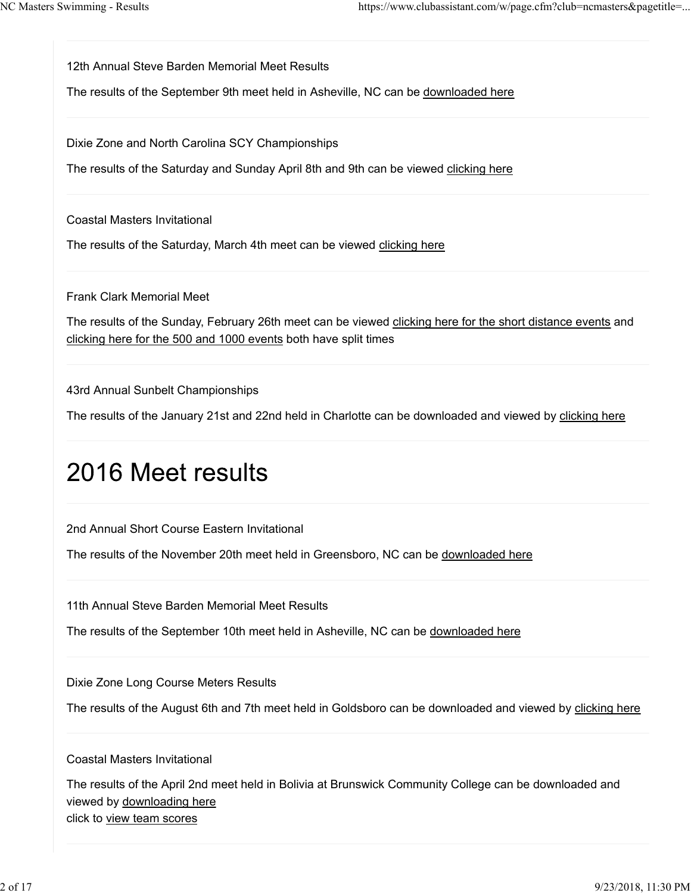12th Annual Steve Barden Memorial Meet Results

The results of the September 9th meet held in Asheville, NC can be downloaded here

Dixie Zone and North Carolina SCY Championships

The results of the Saturday and Sunday April 8th and 9th can be viewed clicking here

Coastal Masters Invitational

The results of the Saturday, March 4th meet can be viewed clicking here

Frank Clark Memorial Meet

The results of the Sunday, February 26th meet can be viewed clicking here for the short distance events and clicking here for the 500 and 1000 events both have split times

43rd Annual Sunbelt Championships

The results of the January 21st and 22nd held in Charlotte can be downloaded and viewed by clicking here

### 2016 Meet results

2nd Annual Short Course Eastern Invitational

The results of the November 20th meet held in Greensboro, NC can be downloaded here

11th Annual Steve Barden Memorial Meet Results

The results of the September 10th meet held in Asheville, NC can be downloaded here

Dixie Zone Long Course Meters Results

The results of the August 6th and 7th meet held in Goldsboro can be downloaded and viewed by clicking here

#### Coastal Masters Invitational

The results of the April 2nd meet held in Bolivia at Brunswick Community College can be downloaded and viewed by downloading here click to view team scores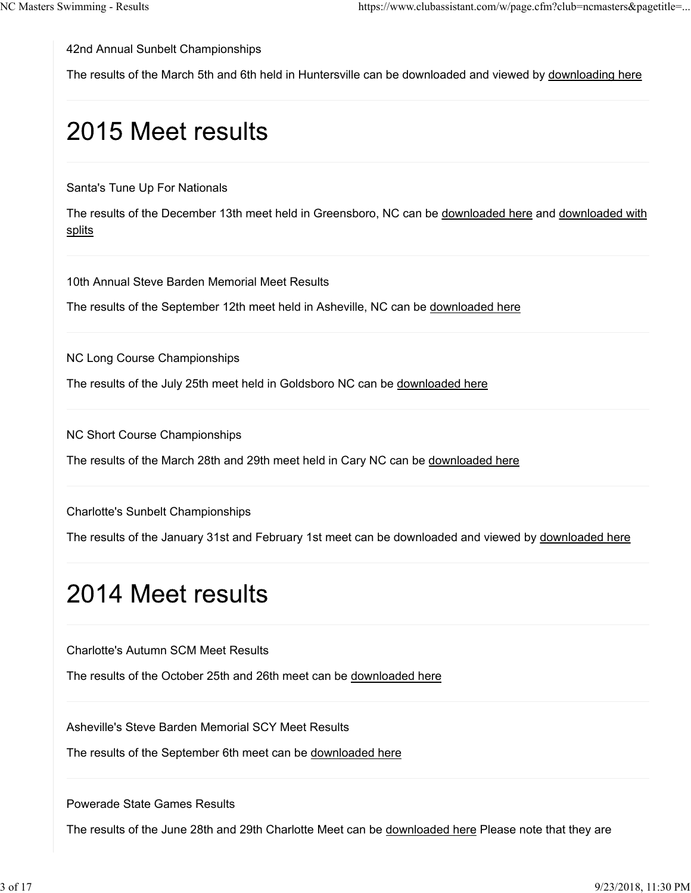42nd Annual Sunbelt Championships

The results of the March 5th and 6th held in Huntersville can be downloaded and viewed by downloading here

# 2015 Meet results

Santa's Tune Up For Nationals

The results of the December 13th meet held in Greensboro, NC can be downloaded here and downloaded with splits

10th Annual Steve Barden Memorial Meet Results

The results of the September 12th meet held in Asheville, NC can be downloaded here

NC Long Course Championships

The results of the July 25th meet held in Goldsboro NC can be downloaded here

NC Short Course Championships

The results of the March 28th and 29th meet held in Cary NC can be downloaded here

Charlotte's Sunbelt Championships

The results of the January 31st and February 1st meet can be downloaded and viewed by downloaded here

# 2014 Meet results

Charlotte's Autumn SCM Meet Results

The results of the October 25th and 26th meet can be downloaded here

Asheville's Steve Barden Memorial SCY Meet Results

The results of the September 6th meet can be downloaded here

Powerade State Games Results

The results of the June 28th and 29th Charlotte Meet can be downloaded here Please note that they are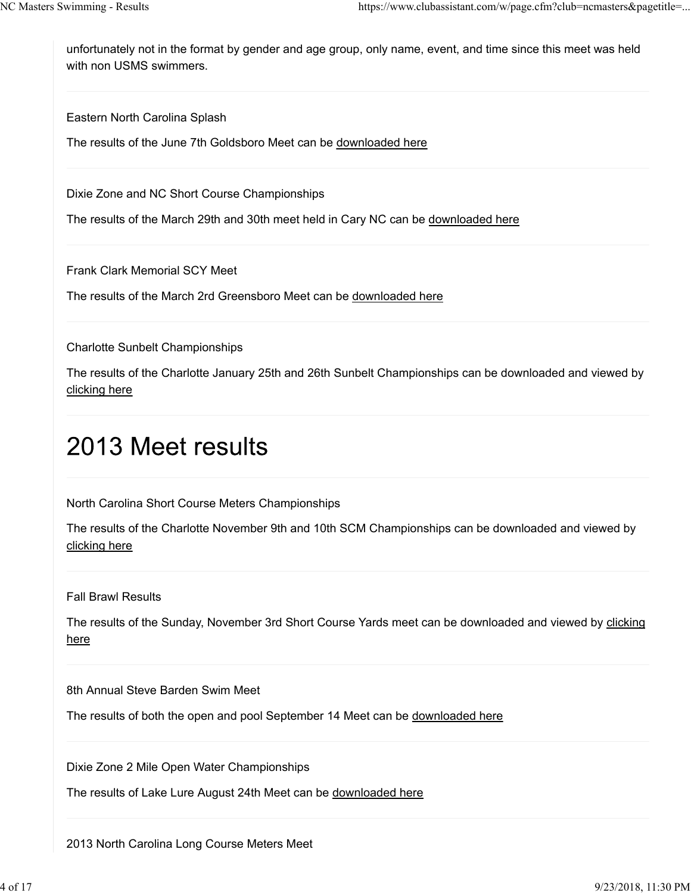unfortunately not in the format by gender and age group, only name, event, and time since this meet was held with non USMS swimmers.

Eastern North Carolina Splash

The results of the June 7th Goldsboro Meet can be downloaded here

Dixie Zone and NC Short Course Championships

The results of the March 29th and 30th meet held in Cary NC can be downloaded here

Frank Clark Memorial SCY Meet

The results of the March 2rd Greensboro Meet can be downloaded here

Charlotte Sunbelt Championships

The results of the Charlotte January 25th and 26th Sunbelt Championships can be downloaded and viewed by clicking here

# 2013 Meet results

North Carolina Short Course Meters Championships

The results of the Charlotte November 9th and 10th SCM Championships can be downloaded and viewed by clicking here

Fall Brawl Results

The results of the Sunday, November 3rd Short Course Yards meet can be downloaded and viewed by clicking here

8th Annual Steve Barden Swim Meet

The results of both the open and pool September 14 Meet can be downloaded here

Dixie Zone 2 Mile Open Water Championships

The results of Lake Lure August 24th Meet can be downloaded here

2013 North Carolina Long Course Meters Meet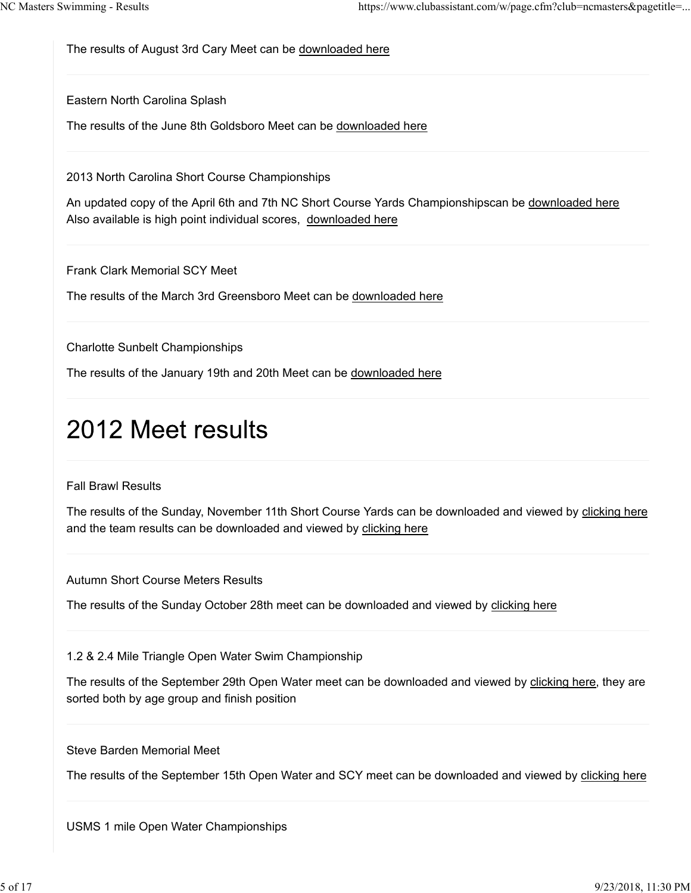The results of August 3rd Cary Meet can be downloaded here

Eastern North Carolina Splash

The results of the June 8th Goldsboro Meet can be downloaded here

2013 North Carolina Short Course Championships

An updated copy of the April 6th and 7th NC Short Course Yards Championshipscan be downloaded here Also available is high point individual scores, downloaded here

Frank Clark Memorial SCY Meet

The results of the March 3rd Greensboro Meet can be downloaded here

Charlotte Sunbelt Championships

The results of the January 19th and 20th Meet can be downloaded here

# 2012 Meet results

Fall Brawl Results

The results of the Sunday, November 11th Short Course Yards can be downloaded and viewed by clicking here and the team results can be downloaded and viewed by clicking here

Autumn Short Course Meters Results

The results of the Sunday October 28th meet can be downloaded and viewed by clicking here

1.2 & 2.4 Mile Triangle Open Water Swim Championship

The results of the September 29th Open Water meet can be downloaded and viewed by clicking here, they are sorted both by age group and finish position

Steve Barden Memorial Meet

The results of the September 15th Open Water and SCY meet can be downloaded and viewed by clicking here

USMS 1 mile Open Water Championships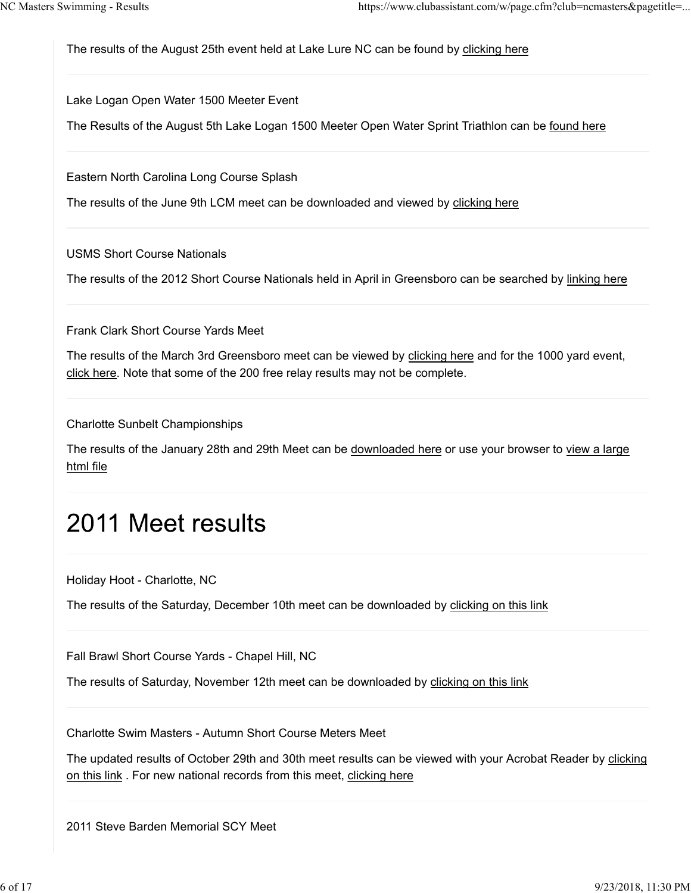The results of the August 25th event held at Lake Lure NC can be found by clicking here

Lake Logan Open Water 1500 Meeter Event

The Results of the August 5th Lake Logan 1500 Meeter Open Water Sprint Triathlon can be found here

Eastern North Carolina Long Course Splash

The results of the June 9th LCM meet can be downloaded and viewed by clicking here

USMS Short Course Nationals

The results of the 2012 Short Course Nationals held in April in Greensboro can be searched by linking here

Frank Clark Short Course Yards Meet

The results of the March 3rd Greensboro meet can be viewed by clicking here and for the 1000 yard event, click here. Note that some of the 200 free relay results may not be complete.

Charlotte Sunbelt Championships

The results of the January 28th and 29th Meet can be downloaded here or use your browser to view a large html file

# 2011 Meet results

Holiday Hoot - Charlotte, NC

The results of the Saturday, December 10th meet can be downloaded by clicking on this link

Fall Brawl Short Course Yards - Chapel Hill, NC

The results of Saturday, November 12th meet can be downloaded by clicking on this link

Charlotte Swim Masters - Autumn Short Course Meters Meet

The updated results of October 29th and 30th meet results can be viewed with your Acrobat Reader by clicking on this link . For new national records from this meet, clicking here

2011 Steve Barden Memorial SCY Meet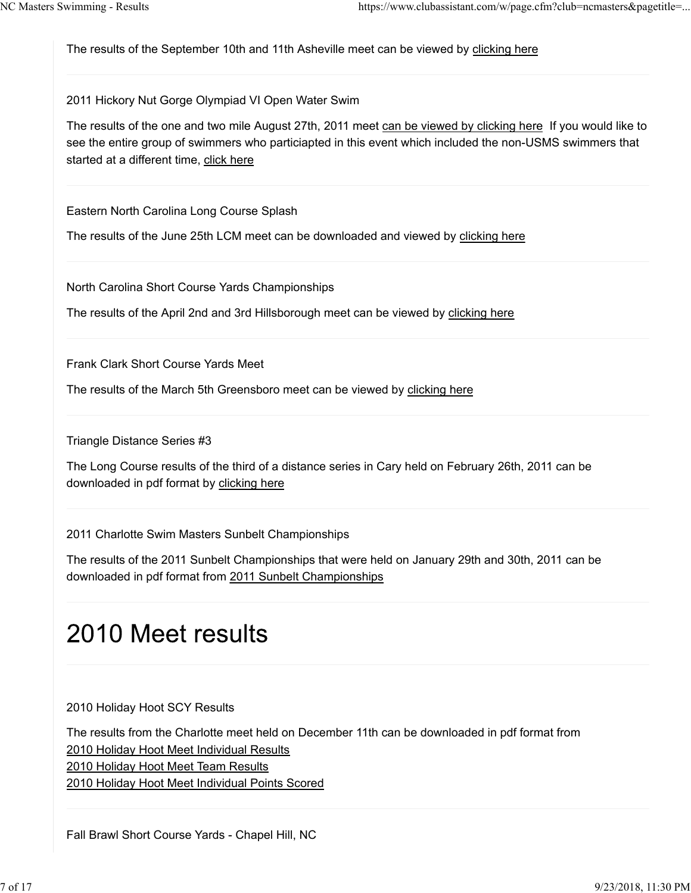The results of the September 10th and 11th Asheville meet can be viewed by clicking here

2011 Hickory Nut Gorge Olympiad VI Open Water Swim

The results of the one and two mile August 27th, 2011 meet can be viewed by clicking here If you would like to see the entire group of swimmers who particiapted in this event which included the non-USMS swimmers that started at a different time, click here

Eastern North Carolina Long Course Splash

The results of the June 25th LCM meet can be downloaded and viewed by clicking here

North Carolina Short Course Yards Championships

The results of the April 2nd and 3rd Hillsborough meet can be viewed by clicking here

Frank Clark Short Course Yards Meet

The results of the March 5th Greensboro meet can be viewed by clicking here

Triangle Distance Series #3

The Long Course results of the third of a distance series in Cary held on February 26th, 2011 can be downloaded in pdf format by clicking here

2011 Charlotte Swim Masters Sunbelt Championships

The results of the 2011 Sunbelt Championships that were held on January 29th and 30th, 2011 can be downloaded in pdf format from 2011 Sunbelt Championships

### 2010 Meet results

2010 Holiday Hoot SCY Results

The results from the Charlotte meet held on December 11th can be downloaded in pdf format from 2010 Holiday Hoot Meet Individual Results 2010 Holiday Hoot Meet Team Results 2010 Holiday Hoot Meet Individual Points Scored

Fall Brawl Short Course Yards - Chapel Hill, NC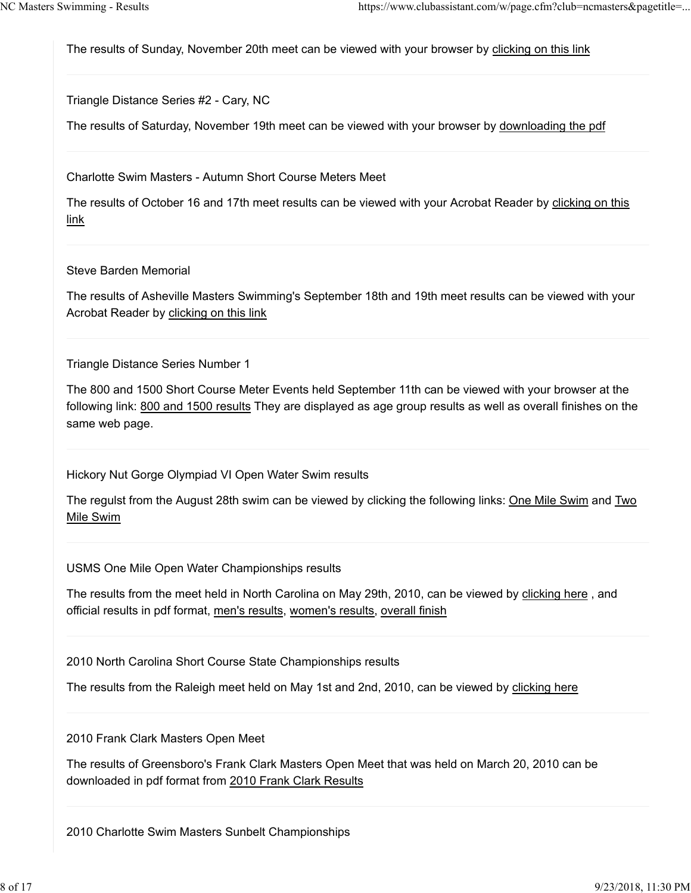The results of Sunday, November 20th meet can be viewed with your browser by clicking on this link

Triangle Distance Series #2 - Cary, NC

The results of Saturday, November 19th meet can be viewed with your browser by downloading the pdf

Charlotte Swim Masters - Autumn Short Course Meters Meet

The results of October 16 and 17th meet results can be viewed with your Acrobat Reader by clicking on this link

Steve Barden Memorial

The results of Asheville Masters Swimming's September 18th and 19th meet results can be viewed with your Acrobat Reader by clicking on this link

Triangle Distance Series Number 1

The 800 and 1500 Short Course Meter Events held September 11th can be viewed with your browser at the following link: 800 and 1500 results They are displayed as age group results as well as overall finishes on the same web page.

Hickory Nut Gorge Olympiad VI Open Water Swim results

The regulst from the August 28th swim can be viewed by clicking the following links: One Mile Swim and Two Mile Swim

USMS One Mile Open Water Championships results

The results from the meet held in North Carolina on May 29th, 2010, can be viewed by clicking here , and official results in pdf format, men's results, women's results, overall finish

2010 North Carolina Short Course State Championships results

The results from the Raleigh meet held on May 1st and 2nd, 2010, can be viewed by clicking here

2010 Frank Clark Masters Open Meet

The results of Greensboro's Frank Clark Masters Open Meet that was held on March 20, 2010 can be downloaded in pdf format from 2010 Frank Clark Results

2010 Charlotte Swim Masters Sunbelt Championships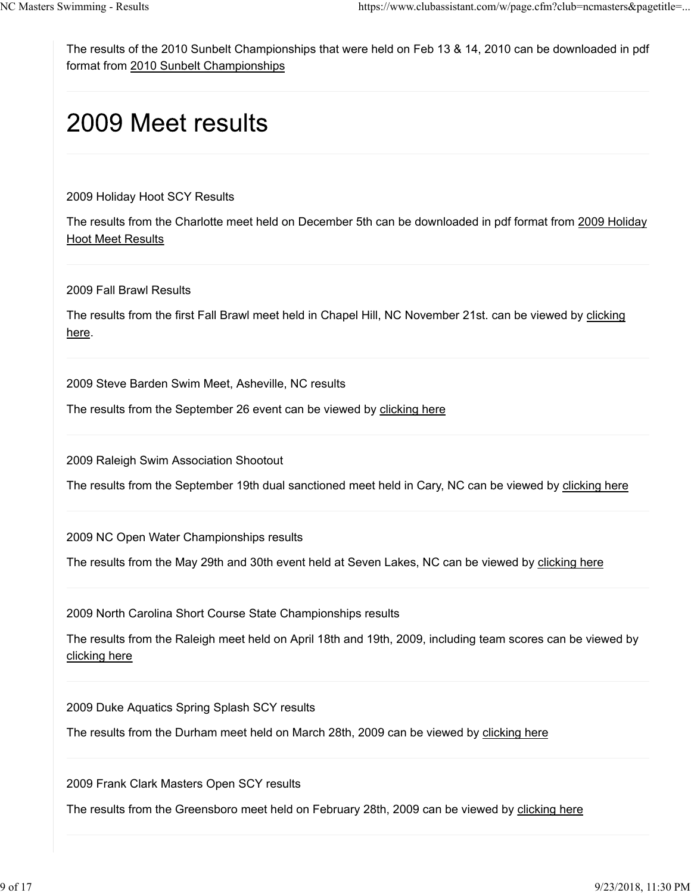The results of the 2010 Sunbelt Championships that were held on Feb 13 & 14, 2010 can be downloaded in pdf format from 2010 Sunbelt Championships

# 2009 Meet results

2009 Holiday Hoot SCY Results

The results from the Charlotte meet held on December 5th can be downloaded in pdf format from 2009 Holiday Hoot Meet Results

2009 Fall Brawl Results

The results from the first Fall Brawl meet held in Chapel Hill, NC November 21st. can be viewed by clicking here.

2009 Steve Barden Swim Meet, Asheville, NC results

The results from the September 26 event can be viewed by clicking here

2009 Raleigh Swim Association Shootout

The results from the September 19th dual sanctioned meet held in Cary, NC can be viewed by clicking here

2009 NC Open Water Championships results

The results from the May 29th and 30th event held at Seven Lakes, NC can be viewed by clicking here

2009 North Carolina Short Course State Championships results

The results from the Raleigh meet held on April 18th and 19th, 2009, including team scores can be viewed by clicking here

2009 Duke Aquatics Spring Splash SCY results

The results from the Durham meet held on March 28th, 2009 can be viewed by clicking here

2009 Frank Clark Masters Open SCY results

The results from the Greensboro meet held on February 28th, 2009 can be viewed by clicking here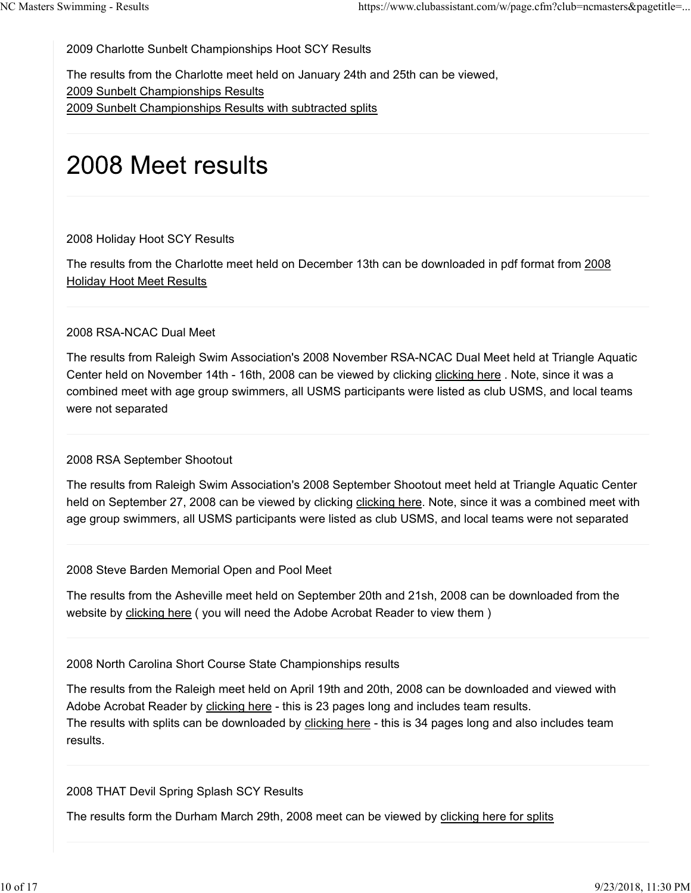2009 Charlotte Sunbelt Championships Hoot SCY Results

The results from the Charlotte meet held on January 24th and 25th can be viewed, 2009 Sunbelt Championships Results 2009 Sunbelt Championships Results with subtracted splits

### 2008 Meet results

### 2008 Holiday Hoot SCY Results

The results from the Charlotte meet held on December 13th can be downloaded in pdf format from 2008 Holiday Hoot Meet Results

#### 2008 RSA-NCAC Dual Meet

The results from Raleigh Swim Association's 2008 November RSA-NCAC Dual Meet held at Triangle Aquatic Center held on November 14th - 16th, 2008 can be viewed by clicking clicking here. Note, since it was a combined meet with age group swimmers, all USMS participants were listed as club USMS, and local teams were not separated

#### 2008 RSA September Shootout

The results from Raleigh Swim Association's 2008 September Shootout meet held at Triangle Aquatic Center held on September 27, 2008 can be viewed by clicking clicking here. Note, since it was a combined meet with age group swimmers, all USMS participants were listed as club USMS, and local teams were not separated

2008 Steve Barden Memorial Open and Pool Meet

The results from the Asheville meet held on September 20th and 21sh, 2008 can be downloaded from the website by clicking here ( you will need the Adobe Acrobat Reader to view them )

#### 2008 North Carolina Short Course State Championships results

The results from the Raleigh meet held on April 19th and 20th, 2008 can be downloaded and viewed with Adobe Acrobat Reader by clicking here - this is 23 pages long and includes team results. The results with splits can be downloaded by clicking here - this is 34 pages long and also includes team results.

2008 THAT Devil Spring Splash SCY Results

The results form the Durham March 29th, 2008 meet can be viewed by clicking here for splits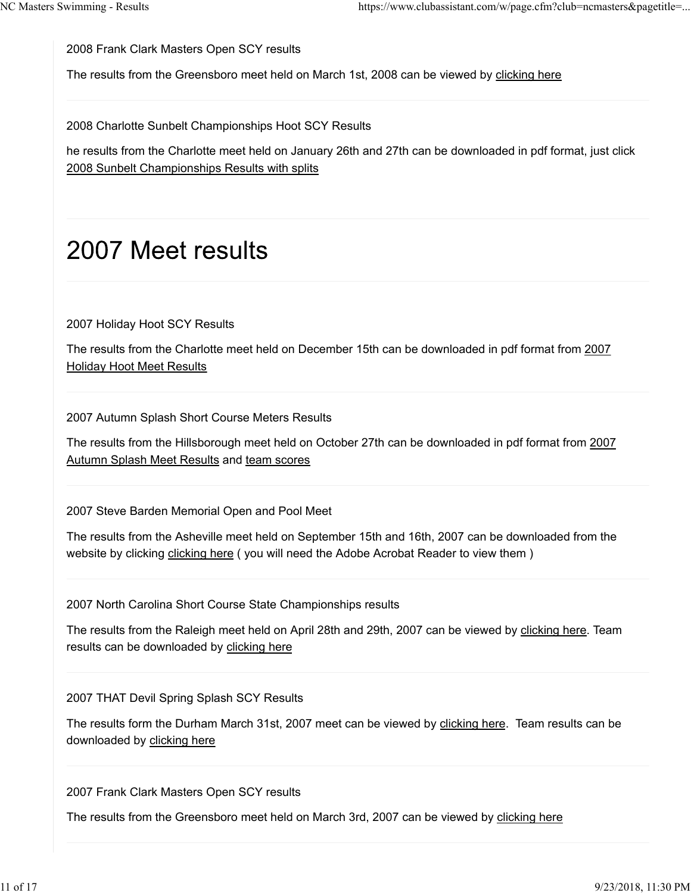2008 Frank Clark Masters Open SCY results

The results from the Greensboro meet held on March 1st, 2008 can be viewed by clicking here

2008 Charlotte Sunbelt Championships Hoot SCY Results

he results from the Charlotte meet held on January 26th and 27th can be downloaded in pdf format, just click 2008 Sunbelt Championships Results with splits

### 2007 Meet results

2007 Holiday Hoot SCY Results

The results from the Charlotte meet held on December 15th can be downloaded in pdf format from 2007 **Holiday Hoot Meet Results** 

2007 Autumn Splash Short Course Meters Results

The results from the Hillsborough meet held on October 27th can be downloaded in pdf format from 2007 Autumn Splash Meet Results and team scores

2007 Steve Barden Memorial Open and Pool Meet

The results from the Asheville meet held on September 15th and 16th, 2007 can be downloaded from the website by clicking clicking here ( you will need the Adobe Acrobat Reader to view them )

2007 North Carolina Short Course State Championships results

The results from the Raleigh meet held on April 28th and 29th, 2007 can be viewed by clicking here. Team results can be downloaded by clicking here

2007 THAT Devil Spring Splash SCY Results

The results form the Durham March 31st, 2007 meet can be viewed by clicking here. Team results can be downloaded by clicking here

2007 Frank Clark Masters Open SCY results

The results from the Greensboro meet held on March 3rd, 2007 can be viewed by clicking here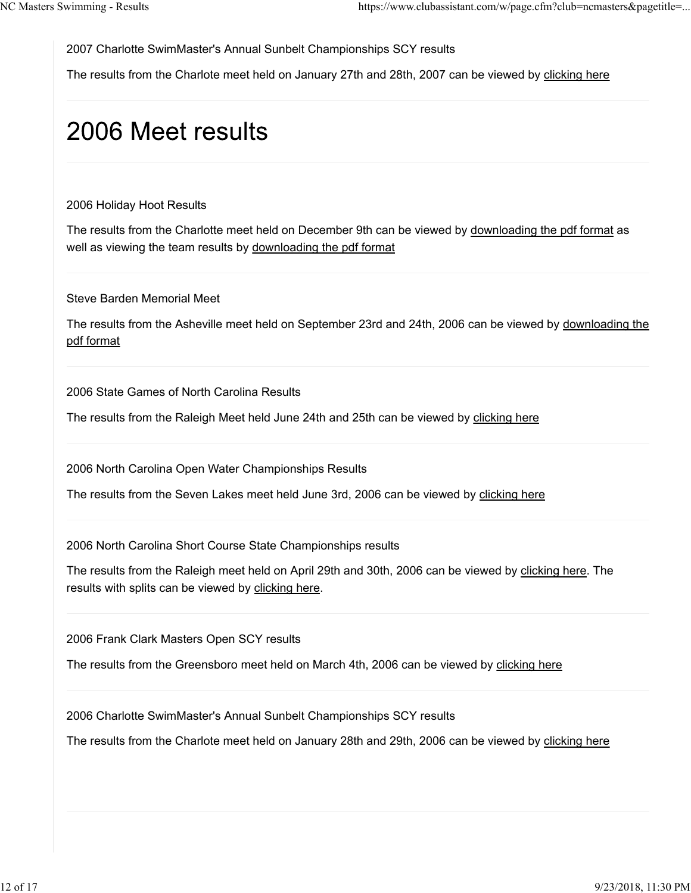2007 Charlotte SwimMaster's Annual Sunbelt Championships SCY results

The results from the Charlote meet held on January 27th and 28th, 2007 can be viewed by clicking here

# 2006 Meet results

2006 Holiday Hoot Results

The results from the Charlotte meet held on December 9th can be viewed by downloading the pdf format as well as viewing the team results by downloading the pdf format

Steve Barden Memorial Meet

The results from the Asheville meet held on September 23rd and 24th, 2006 can be viewed by downloading the pdf format

2006 State Games of North Carolina Results

The results from the Raleigh Meet held June 24th and 25th can be viewed by clicking here

2006 North Carolina Open Water Championships Results

The results from the Seven Lakes meet held June 3rd, 2006 can be viewed by clicking here

2006 North Carolina Short Course State Championships results

The results from the Raleigh meet held on April 29th and 30th, 2006 can be viewed by clicking here. The results with splits can be viewed by clicking here.

2006 Frank Clark Masters Open SCY results

The results from the Greensboro meet held on March 4th, 2006 can be viewed by clicking here

2006 Charlotte SwimMaster's Annual Sunbelt Championships SCY results

The results from the Charlote meet held on January 28th and 29th, 2006 can be viewed by clicking here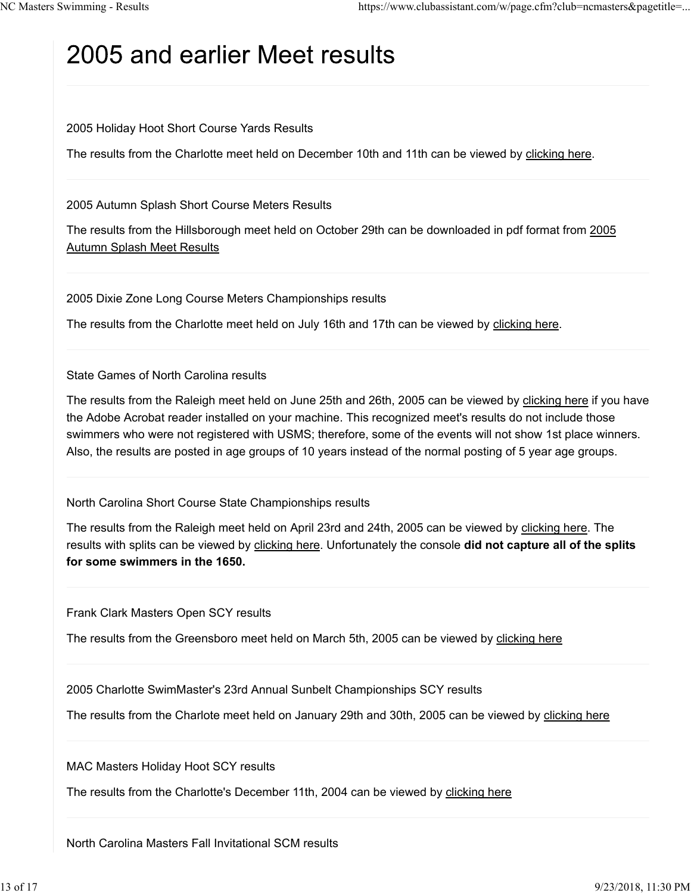### 2005 and earlier Meet results

2005 Holiday Hoot Short Course Yards Results

The results from the Charlotte meet held on December 10th and 11th can be viewed by clicking here.

2005 Autumn Splash Short Course Meters Results

The results from the Hillsborough meet held on October 29th can be downloaded in pdf format from 2005 Autumn Splash Meet Results

2005 Dixie Zone Long Course Meters Championships results

The results from the Charlotte meet held on July 16th and 17th can be viewed by clicking here.

State Games of North Carolina results

The results from the Raleigh meet held on June 25th and 26th, 2005 can be viewed by clicking here if you have the Adobe Acrobat reader installed on your machine. This recognized meet's results do not include those swimmers who were not registered with USMS; therefore, some of the events will not show 1st place winners. Also, the results are posted in age groups of 10 years instead of the normal posting of 5 year age groups.

North Carolina Short Course State Championships results

The results from the Raleigh meet held on April 23rd and 24th, 2005 can be viewed by clicking here. The results with splits can be viewed by clicking here. Unfortunately the console **did not capture all of the splits for some swimmers in the 1650.**

Frank Clark Masters Open SCY results

The results from the Greensboro meet held on March 5th, 2005 can be viewed by clicking here

2005 Charlotte SwimMaster's 23rd Annual Sunbelt Championships SCY results

The results from the Charlote meet held on January 29th and 30th, 2005 can be viewed by clicking here

MAC Masters Holiday Hoot SCY results

The results from the Charlotte's December 11th, 2004 can be viewed by clicking here

North Carolina Masters Fall Invitational SCM results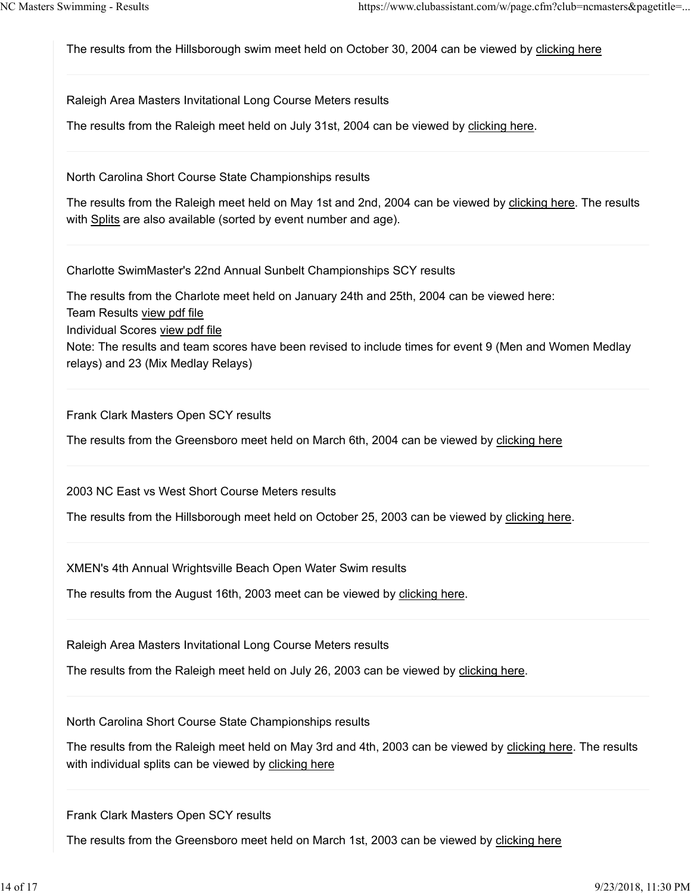The results from the Hillsborough swim meet held on October 30, 2004 can be viewed by clicking here

Raleigh Area Masters Invitational Long Course Meters results

The results from the Raleigh meet held on July 31st, 2004 can be viewed by clicking here.

North Carolina Short Course State Championships results

The results from the Raleigh meet held on May 1st and 2nd, 2004 can be viewed by clicking here. The results with Splits are also available (sorted by event number and age).

Charlotte SwimMaster's 22nd Annual Sunbelt Championships SCY results

The results from the Charlote meet held on January 24th and 25th, 2004 can be viewed here: Team Results view pdf file Individual Scores view pdf file Note: The results and team scores have been revised to include times for event 9 (Men and Women Medlay relays) and 23 (Mix Medlay Relays)

Frank Clark Masters Open SCY results

The results from the Greensboro meet held on March 6th, 2004 can be viewed by clicking here

2003 NC East vs West Short Course Meters results

The results from the Hillsborough meet held on October 25, 2003 can be viewed by clicking here.

XMEN's 4th Annual Wrightsville Beach Open Water Swim results

The results from the August 16th, 2003 meet can be viewed by clicking here.

Raleigh Area Masters Invitational Long Course Meters results

The results from the Raleigh meet held on July 26, 2003 can be viewed by clicking here.

North Carolina Short Course State Championships results

The results from the Raleigh meet held on May 3rd and 4th, 2003 can be viewed by clicking here. The results with individual splits can be viewed by clicking here

Frank Clark Masters Open SCY results

The results from the Greensboro meet held on March 1st, 2003 can be viewed by clicking here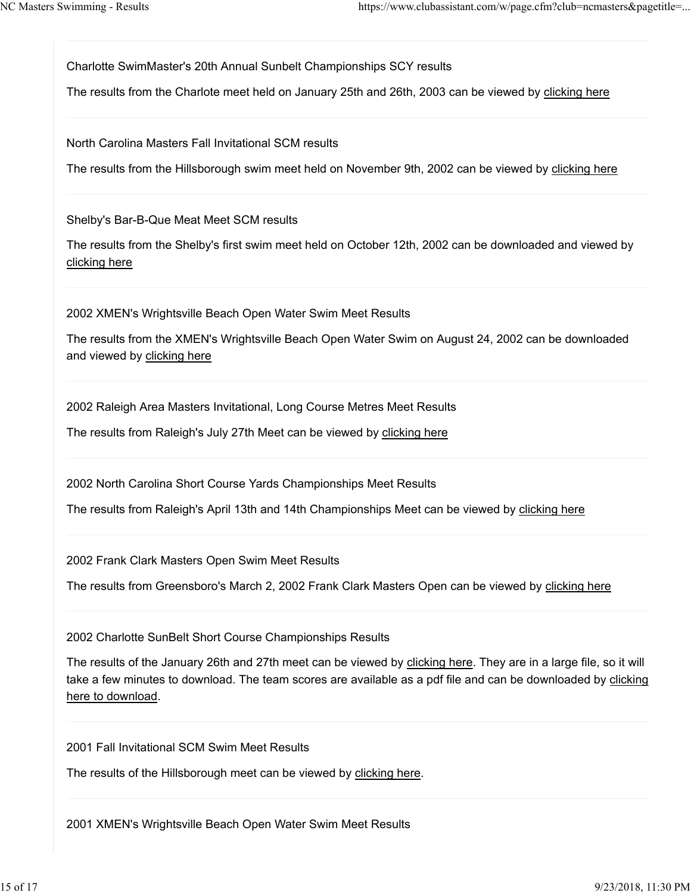Charlotte SwimMaster's 20th Annual Sunbelt Championships SCY results

The results from the Charlote meet held on January 25th and 26th, 2003 can be viewed by clicking here

North Carolina Masters Fall Invitational SCM results

The results from the Hillsborough swim meet held on November 9th, 2002 can be viewed by clicking here

Shelby's Bar-B-Que Meat Meet SCM results

The results from the Shelby's first swim meet held on October 12th, 2002 can be downloaded and viewed by clicking here

2002 XMEN's Wrightsville Beach Open Water Swim Meet Results

The results from the XMEN's Wrightsville Beach Open Water Swim on August 24, 2002 can be downloaded and viewed by clicking here

2002 Raleigh Area Masters Invitational, Long Course Metres Meet Results

The results from Raleigh's July 27th Meet can be viewed by clicking here

2002 North Carolina Short Course Yards Championships Meet Results

The results from Raleigh's April 13th and 14th Championships Meet can be viewed by clicking here

2002 Frank Clark Masters Open Swim Meet Results

The results from Greensboro's March 2, 2002 Frank Clark Masters Open can be viewed by clicking here

2002 Charlotte SunBelt Short Course Championships Results

The results of the January 26th and 27th meet can be viewed by clicking here. They are in a large file, so it will take a few minutes to download. The team scores are available as a pdf file and can be downloaded by clicking here to download.

2001 Fall Invitational SCM Swim Meet Results

The results of the Hillsborough meet can be viewed by clicking here.

2001 XMEN's Wrightsville Beach Open Water Swim Meet Results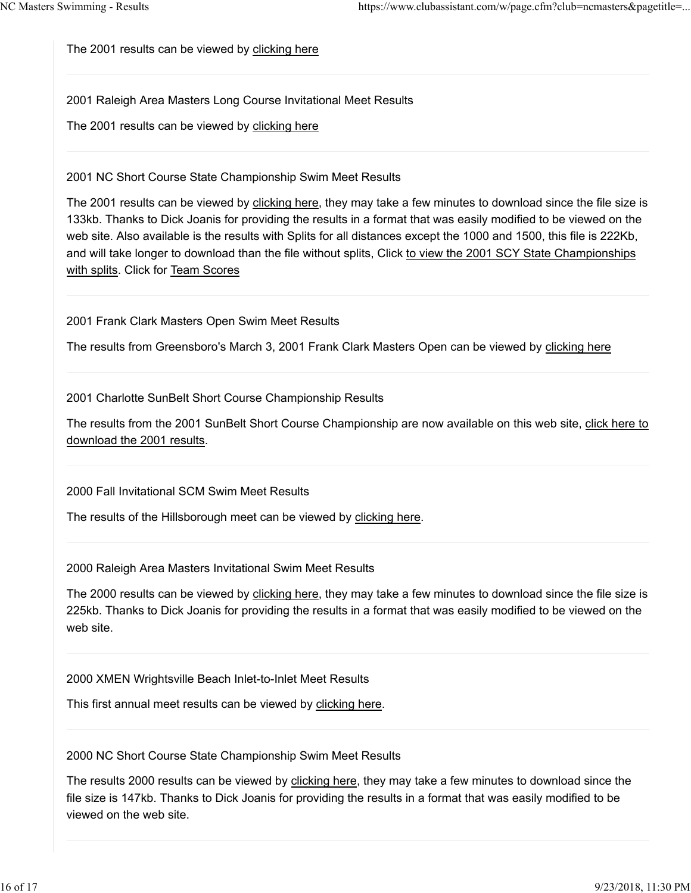The 2001 results can be viewed by clicking here

2001 Raleigh Area Masters Long Course Invitational Meet Results

The 2001 results can be viewed by clicking here

2001 NC Short Course State Championship Swim Meet Results

The 2001 results can be viewed by clicking here, they may take a few minutes to download since the file size is 133kb. Thanks to Dick Joanis for providing the results in a format that was easily modified to be viewed on the web site. Also available is the results with Splits for all distances except the 1000 and 1500, this file is 222Kb, and will take longer to download than the file without splits, Click to view the 2001 SCY State Championships with splits. Click for Team Scores

2001 Frank Clark Masters Open Swim Meet Results

The results from Greensboro's March 3, 2001 Frank Clark Masters Open can be viewed by clicking here

2001 Charlotte SunBelt Short Course Championship Results

The results from the 2001 SunBelt Short Course Championship are now available on this web site, click here to download the 2001 results.

2000 Fall Invitational SCM Swim Meet Results

The results of the Hillsborough meet can be viewed by clicking here.

2000 Raleigh Area Masters Invitational Swim Meet Results

The 2000 results can be viewed by clicking here, they may take a few minutes to download since the file size is 225kb. Thanks to Dick Joanis for providing the results in a format that was easily modified to be viewed on the web site.

2000 XMEN Wrightsville Beach Inlet-to-Inlet Meet Results

This first annual meet results can be viewed by clicking here.

2000 NC Short Course State Championship Swim Meet Results

The results 2000 results can be viewed by clicking here, they may take a few minutes to download since the file size is 147kb. Thanks to Dick Joanis for providing the results in a format that was easily modified to be viewed on the web site.